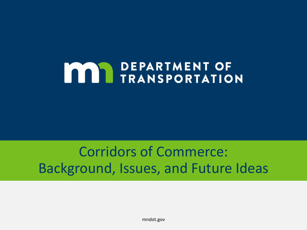# **MAN DEPARTMENT OF TRANSPORTATION**

# Corridors of Commerce: Background, Issues, and Future Ideas

mndot.gov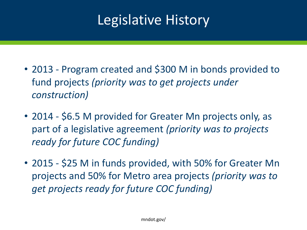# Legislative History

- 2013 Program created and \$300 M in bonds provided to fund projects *(priority was to get projects under construction)*
- 2014 \$6.5 M provided for Greater Mn projects only, as part of a legislative agreement *(priority was to projects ready for future COC funding)*
- 2015 \$25 M in funds provided, with 50% for Greater Mn projects and 50% for Metro area projects *(priority was to get projects ready for future COC funding)*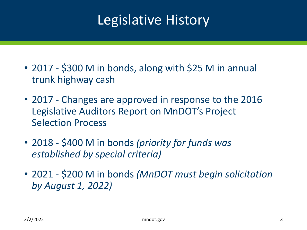# Legislative History

- 2017 \$300 M in bonds, along with \$25 M in annual trunk highway cash
- 2017 Changes are approved in response to the 2016 Legislative Auditors Report on MnDOT's Project Selection Process
- 2018 \$400 M in bonds *(priority for funds was established by special criteria)*
- 2021 \$200 M in bonds *(MnDOT must begin solicitation by August 1, 2022)*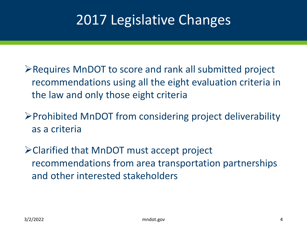# 2017 Legislative Changes

- ➢Requires MnDOT to score and rank all submitted project recommendations using all the eight evaluation criteria in the law and only those eight criteria
- ➢Prohibited MnDOT from considering project deliverability as a criteria
- ➢Clarified that MnDOT must accept project recommendations from area transportation partnerships and other interested stakeholders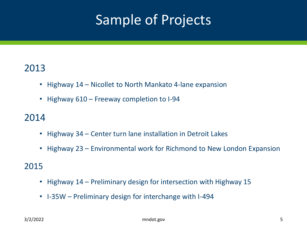# Sample of Projects

#### 2013

- Highway 14 Nicollet to North Mankato 4-lane expansion
- Highway 610 Freeway completion to I-94

### 2014

- Highway 34 Center turn lane installation in Detroit Lakes
- Highway 23 Environmental work for Richmond to New London Expansion

#### 2015

- Highway 14 Preliminary design for intersection with Highway 15
- I-35W Preliminary design for interchange with I-494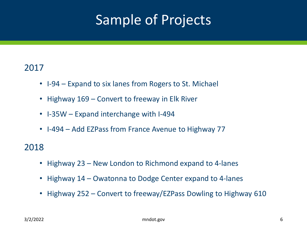# Sample of Projects

#### 2017

- I-94 Expand to six lanes from Rogers to St. Michael
- Highway 169 Convert to freeway in Elk River
- I-35W Expand interchange with I-494
- I-494 Add EZPass from France Avenue to Highway 77

#### 2018

- Highway 23 New London to Richmond expand to 4-lanes
- Highway 14 Owatonna to Dodge Center expand to 4-lanes
- Highway 252 Convert to freeway/EZPass Dowling to Highway 610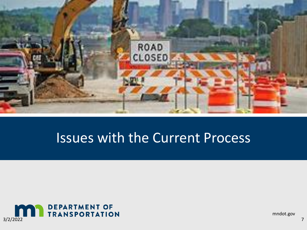

## Issues with the Current Process



mndot.gov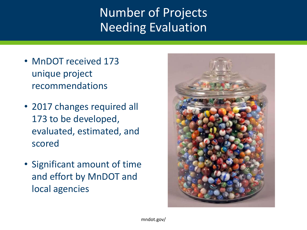## Number of Projects Needing Evaluation

- MnDOT received 173 unique project recommendations
- 2017 changes required all 173 to be developed, evaluated, estimated, and scored
- Significant amount of time and effort by MnDOT and local agencies

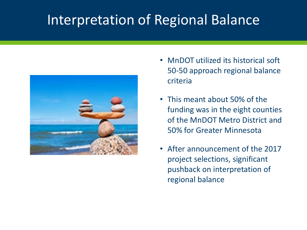# Interpretation of Regional Balance



- MnDOT utilized its historical soft 50-50 approach regional balance criteria
- This meant about 50% of the funding was in the eight counties of the MnDOT Metro District and 50% for Greater Minnesota
- After announcement of the 2017 project selections, significant pushback on interpretation of regional balance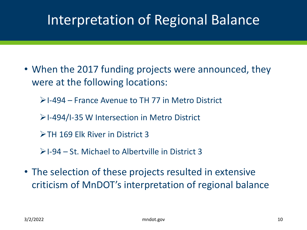# Interpretation of Regional Balance

- When the 2017 funding projects were announced, they were at the following locations:
	- ➢I-494 France Avenue to TH 77 in Metro District
	- ➢I-494/I-35 W Intersection in Metro District
	- ➢TH 169 Elk River in District 3
	- ➢I-94 St. Michael to Albertville in District 3
- The selection of these projects resulted in extensive criticism of MnDOT's interpretation of regional balance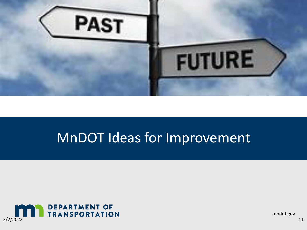

## MnDOT Ideas for Improvement



mndot.gov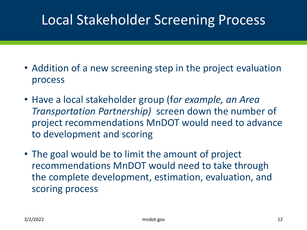# Local Stakeholder Screening Process

- Addition of a new screening step in the project evaluation process
- Have a local stakeholder group (f*or example, an Area Transportation Partnership)* screen down the number of project recommendations MnDOT would need to advance to development and scoring
- The goal would be to limit the amount of project recommendations MnDOT would need to take through the complete development, estimation, evaluation, and scoring process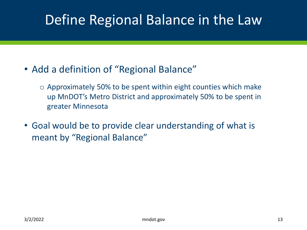# Define Regional Balance in the Law

- Add a definition of "Regional Balance"
	- $\circ$  Approximately 50% to be spent within eight counties which make up MnDOT's Metro District and approximately 50% to be spent in greater Minnesota
- Goal would be to provide clear understanding of what is meant by "Regional Balance"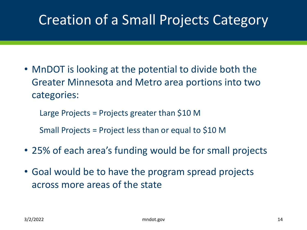# Creation of a Small Projects Category

• MnDOT is looking at the potential to divide both the Greater Minnesota and Metro area portions into two categories:

Large Projects = Projects greater than \$10 M

Small Projects = Project less than or equal to \$10 M

- 25% of each area's funding would be for small projects
- Goal would be to have the program spread projects across more areas of the state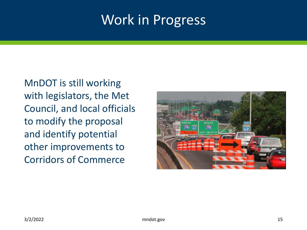## Work in Progress

MnDOT is still working with legislators, the Met Council, and local officials to modify the proposal and identify potential other improvements to Corridors of Commerce